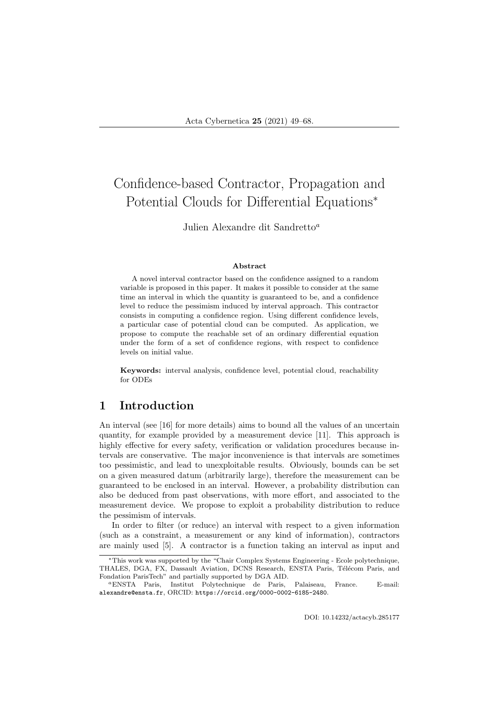# Confidence-based Contractor, Propagation and Potential Clouds for Differential Equations<sup>∗</sup>

Julien Alexandre dit Sandretto<sup>a</sup>

#### Abstract

A novel interval contractor based on the confidence assigned to a random variable is proposed in this paper. It makes it possible to consider at the same time an interval in which the quantity is guaranteed to be, and a confidence level to reduce the pessimism induced by interval approach. This contractor consists in computing a confidence region. Using different confidence levels, a particular case of potential cloud can be computed. As application, we propose to compute the reachable set of an ordinary differential equation under the form of a set of confidence regions, with respect to confidence levels on initial value.

Keywords: interval analysis, confidence level, potential cloud, reachability for ODEs

# 1 Introduction

An interval (see [16] for more details) aims to bound all the values of an uncertain quantity, for example provided by a measurement device [11]. This approach is highly effective for every safety, verification or validation procedures because intervals are conservative. The major inconvenience is that intervals are sometimes too pessimistic, and lead to unexploitable results. Obviously, bounds can be set on a given measured datum (arbitrarily large), therefore the measurement can be guaranteed to be enclosed in an interval. However, a probability distribution can also be deduced from past observations, with more effort, and associated to the measurement device. We propose to exploit a probability distribution to reduce the pessimism of intervals.

In order to filter (or reduce) an interval with respect to a given information (such as a constraint, a measurement or any kind of information), contractors are mainly used [5]. A contractor is a function taking an interval as input and

<sup>∗</sup>This work was supported by the "Chair Complex Systems Engineering - Ecole polytechnique, THALES, DGA, FX, Dassault Aviation, DCNS Research, ENSTA Paris, Télécom Paris, and Fondation ParisTech" and partially supported by DGA AID.

<sup>a</sup>ENSTA Paris, Institut Polytechnique de Paris, Palaiseau, France. E-mail: alexandre@ensta.fr, ORCID: https://orcid.org/0000-0002-6185-2480.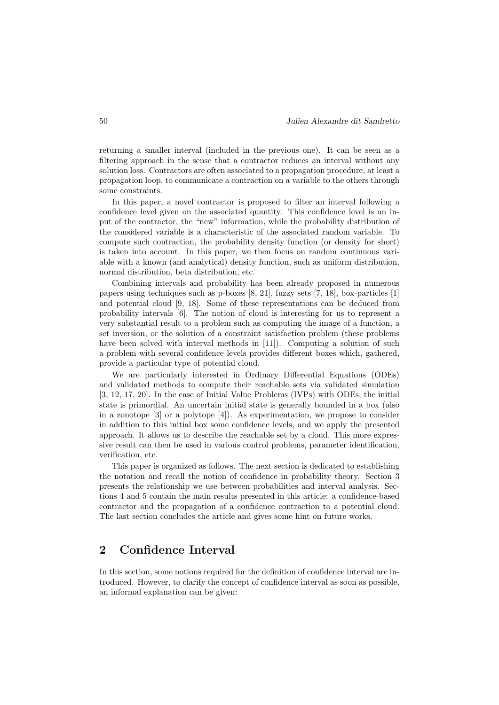returning a smaller interval (included in the previous one). It can be seen as a filtering approach in the sense that a contractor reduces an interval without any solution loss. Contractors are often associated to a propagation procedure, at least a propagation loop, to communicate a contraction on a variable to the others through some constraints.

In this paper, a novel contractor is proposed to filter an interval following a confidence level given on the associated quantity. This confidence level is an input of the contractor, the "new" information, while the probability distribution of the considered variable is a characteristic of the associated random variable. To compute such contraction, the probability density function (or density for short) is taken into account. In this paper, we then focus on random continuous variable with a known (and analytical) density function, such as uniform distribution, normal distribution, beta distribution, etc.

Combining intervals and probability has been already proposed in numerous papers using techniques such as p-boxes [8, 21], fuzzy sets [7, 18], box-particles [1] and potential cloud [9, 18]. Some of these representations can be deduced from probability intervals [6]. The notion of cloud is interesting for us to represent a very substantial result to a problem such as computing the image of a function, a set inversion, or the solution of a constraint satisfaction problem (these problems have been solved with interval methods in [11]). Computing a solution of such a problem with several confidence levels provides different boxes which, gathered, provide a particular type of potential cloud.

We are particularly interested in Ordinary Differential Equations (ODEs) and validated methods to compute their reachable sets via validated simulation [3, 12, 17, 20]. In the case of Initial Value Problems (IVPs) with ODEs, the initial state is primordial. An uncertain initial state is generally bounded in a box (also in a zonotope [3] or a polytope [4]). As experimentation, we propose to consider in addition to this initial box some confidence levels, and we apply the presented approach. It allows us to describe the reachable set by a cloud. This more expressive result can then be used in various control problems, parameter identification, verification, etc.

This paper is organized as follows. The next section is dedicated to establishing the notation and recall the notion of confidence in probability theory. Section 3 presents the relationship we use between probabilities and interval analysis. Sections 4 and 5 contain the main results presented in this article: a confidence-based contractor and the propagation of a confidence contraction to a potential cloud. The last section concludes the article and gives some hint on future works.

# 2 Confidence Interval

In this section, some notions required for the definition of confidence interval are introduced. However, to clarify the concept of confidence interval as soon as possible, an informal explanation can be given: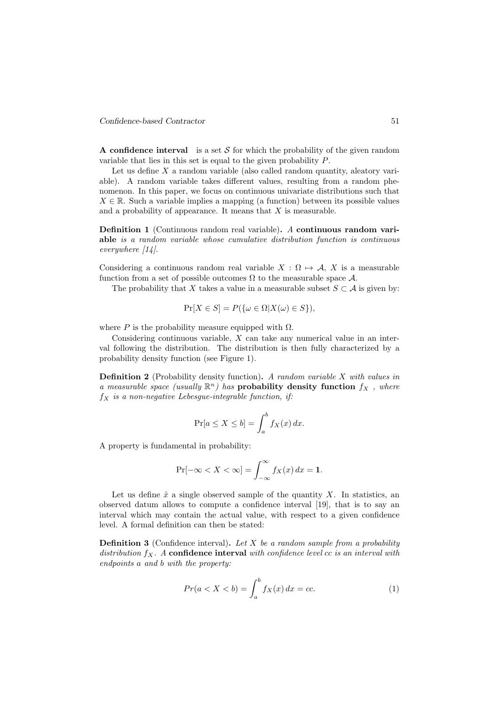A confidence interval is a set  $S$  for which the probability of the given random variable that lies in this set is equal to the given probability P.

Let us define  $X$  a random variable (also called random quantity, aleatory variable). A random variable takes different values, resulting from a random phenomenon. In this paper, we focus on continuous univariate distributions such that  $X \in \mathbb{R}$ . Such a variable implies a mapping (a function) between its possible values and a probability of appearance. It means that  $X$  is measurable.

Definition 1 (Continuous random real variable). A continuous random variable is a random variable whose cumulative distribution function is continuous everywhere [14].

Considering a continuous random real variable  $X : \Omega \mapsto A, X$  is a measurable function from a set of possible outcomes  $\Omega$  to the measurable space  $\mathcal{A}$ .

The probability that X takes a value in a measurable subset  $S \subset A$  is given by:

$$
\Pr[X \in S] = P(\{\omega \in \Omega | X(\omega) \in S\}),
$$

where P is the probability measure equipped with  $\Omega$ .

Considering continuous variable,  $X$  can take any numerical value in an interval following the distribution. The distribution is then fully characterized by a probability density function (see Figure 1).

Definition 2 (Probability density function). A random variable X with values in a measurable space (usually  $\mathbb{R}^n$ ) has **probability density function**  $f_X$ , where  $f_X$  is a non-negative Lebesgue-integrable function, if:

$$
\Pr[a \le X \le b] = \int_a^b f_X(x) \, dx.
$$

A property is fundamental in probability:

$$
\Pr[\neg \infty < X < \infty] = \int_{-\infty}^{\infty} f_X(x) \, dx = 1.
$$

Let us define  $\hat{x}$  a single observed sample of the quantity X. In statistics, an observed datum allows to compute a confidence interval [19], that is to say an interval which may contain the actual value, with respect to a given confidence level. A formal definition can then be stated:

**Definition 3** (Confidence interval). Let  $X$  be a random sample from a probability distribution  $f_X$ . A confidence interval with confidence level  $cc$  is an interval with endpoints a and b with the property:

$$
Pr(a < X < b) = \int_{a}^{b} f_X(x) dx = cc.
$$
 (1)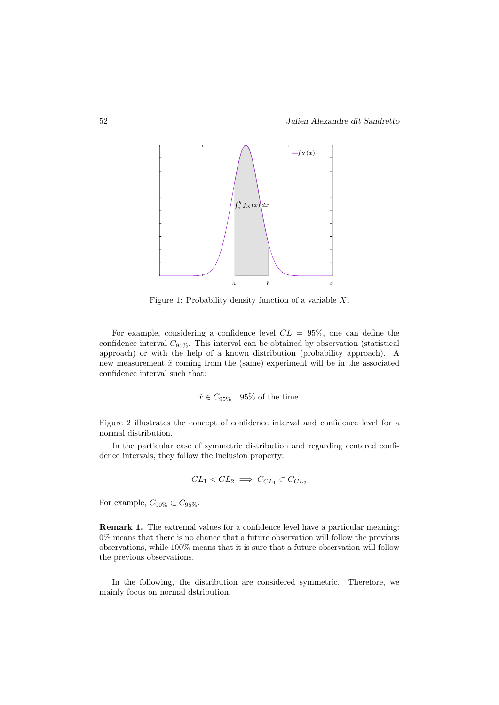

Figure 1: Probability density function of a variable  $X$ .

For example, considering a confidence level  $CL = 95\%$ , one can define the confidence interval  $C_{95\%}$ . This interval can be obtained by observation (statistical approach) or with the help of a known distribution (probability approach). A new measurement  $\hat{x}$  coming from the (same) experiment will be in the associated confidence interval such that:

$$
\hat{x} \in C_{95\%}
$$
 95% of the time.

Figure 2 illustrates the concept of confidence interval and confidence level for a normal distribution.

In the particular case of symmetric distribution and regarding centered confidence intervals, they follow the inclusion property:

$$
CL_1 < CL_2 \implies C_{CL_1} \subset C_{CL_2}
$$

For example,  $C_{90\%} \subset C_{95\%}$ .

Remark 1. The extremal values for a confidence level have a particular meaning: 0% means that there is no chance that a future observation will follow the previous observations, while 100% means that it is sure that a future observation will follow the previous observations.

In the following, the distribution are considered symmetric. Therefore, we mainly focus on normal dstribution.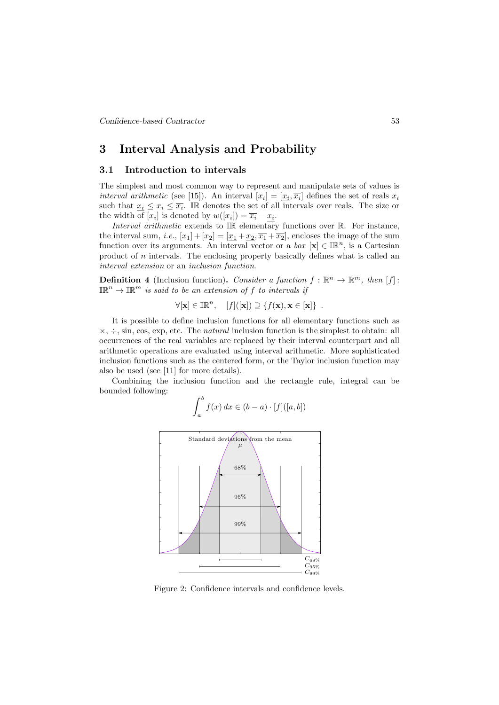### 3 Interval Analysis and Probability

### 3.1 Introduction to intervals

The simplest and most common way to represent and manipulate sets of values is interval arithmetic (see [15]). An interval  $[x_i] = [x_i, \overline{x_i}]$  defines the set of reals  $x_i$ such that  $x_i \leq x_i \leq \overline{x_i}$ . In denotes the set of all intervals over reals. The size or the width of  $[x_i]$  is denoted by  $w([x_i]) = \overline{x_i} - \underline{x_i}$ .

Interval arithmetic extends to IR elementary functions over R. For instance, the interval sum, i.e.,  $[x_1] + [x_2] = [x_1 + x_2, \overline{x_1} + \overline{x_2}]$ , encloses the image of the sum function over its arguments. An interval vector or a *box*  $[\mathbf{x}] \in \mathbb{IR}^n$ , is a Cartesian product of  $n$  intervals. The enclosing property basically defines what is called an interval extension or an inclusion function.

**Definition 4** (Inclusion function). Consider a function  $f : \mathbb{R}^n \to \mathbb{R}^m$ , then [f]:  $\mathbb{IR}^n \to \mathbb{IR}^m$  is said to be an extension of f to intervals if

 $\forall [\mathbf{x}] \in \mathbb{IR}^n, \quad [f]([\mathbf{x}]) \supseteq \{f(\mathbf{x}), \mathbf{x} \in [\mathbf{x}]\}$ .

It is possible to define inclusion functions for all elementary functions such as  $\times, \div$ , sin, cos, exp, etc. The *natural* inclusion function is the simplest to obtain: all occurrences of the real variables are replaced by their interval counterpart and all arithmetic operations are evaluated using interval arithmetic. More sophisticated inclusion functions such as the centered form, or the Taylor inclusion function may also be used (see [11] for more details).

Combining the inclusion function and the rectangle rule, integral can be bounded following:

$$
\int_a^b f(x) \, dx \in (b-a) \cdot [f]([a, b])
$$



Figure 2: Confidence intervals and confidence levels.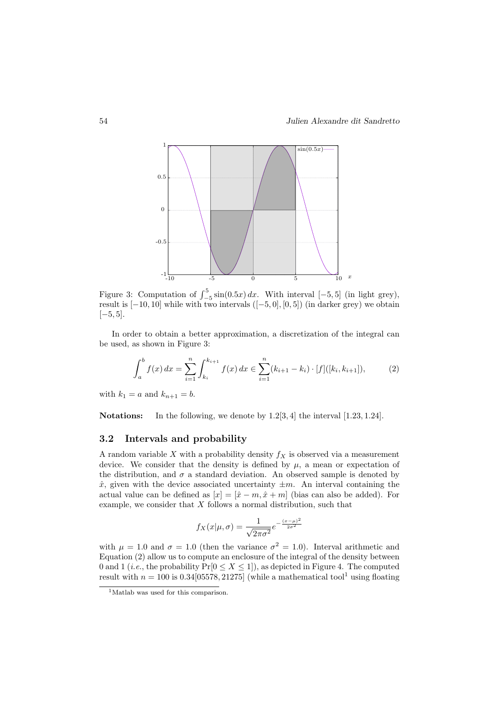

Figure 3: Computation of  $\int_{-5}^{5} \sin(0.5x) dx$ . With interval [-5,5] (in light grey), result is  $[-10, 10]$  while with two intervals  $([-5, 0], [0, 5])$  (in darker grey) we obtain  $[-5, 5]$ .

In order to obtain a better approximation, a discretization of the integral can be used, as shown in Figure 3:

$$
\int_{a}^{b} f(x) dx = \sum_{i=1}^{n} \int_{k_{i}}^{k_{i+1}} f(x) dx \in \sum_{i=1}^{n} (k_{i+1} - k_{i}) \cdot [f]([k_{i}, k_{i+1}]), \tag{2}
$$

with  $k_1 = a$  and  $k_{n+1} = b$ .

Notations: In the following, we denote by 1.2[3, 4] the interval [1.23, 1.24].

#### 3.2 Intervals and probability

A random variable X with a probability density  $f_X$  is observed via a measurement device. We consider that the density is defined by  $\mu$ , a mean or expectation of the distribution, and  $\sigma$  a standard deviation. An observed sample is denoted by  $\hat{x}$ , given with the device associated uncertainty  $\pm m$ . An interval containing the actual value can be defined as  $[x] = [\hat{x} - m, \hat{x} + m]$  (bias can also be added). For example, we consider that X follows a normal distribution, such that

$$
f_X(x|\mu,\sigma) = \frac{1}{\sqrt{2\pi\sigma^2}} e^{-\frac{(x-\mu)^2}{2\sigma^2}}
$$

with  $\mu = 1.0$  and  $\sigma = 1.0$  (then the variance  $\sigma^2 = 1.0$ ). Interval arithmetic and Equation  $(2)$  allow us to compute an enclosure of the integral of the density between 0 and 1 (*i.e.*, the probability  $Pr[0 \le X \le 1]$ ), as depicted in Figure 4. The computed result with  $n = 100$  is 0.34[05578, 21275] (while a mathematical tool<sup>1</sup> using floating

<sup>&</sup>lt;sup>1</sup>Matlab was used for this comparison.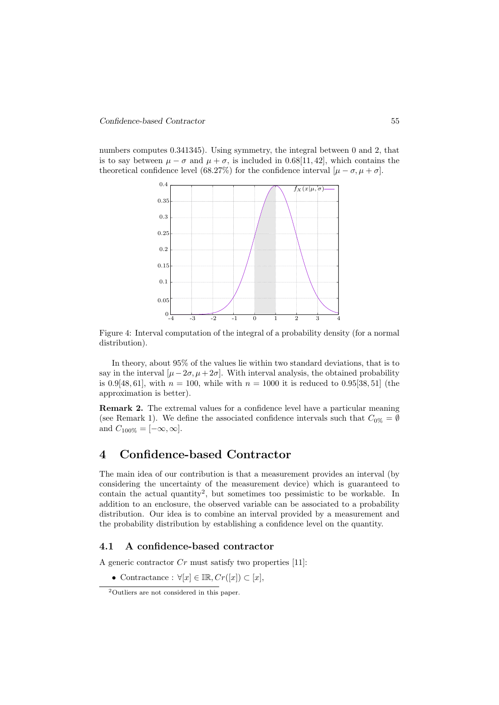numbers computes 0.341345). Using symmetry, the integral between 0 and 2, that is to say between  $\mu - \sigma$  and  $\mu + \sigma$ , is included in 0.68[11, 42], which contains the theoretical confidence level (68.27%) for the confidence interval  $[\mu - \sigma, \mu + \sigma]$ .



Figure 4: Interval computation of the integral of a probability density (for a normal distribution).

In theory, about 95% of the values lie within two standard deviations, that is to say in the interval  $[\mu-2\sigma, \mu+2\sigma]$ . With interval analysis, the obtained probability is 0.9[48, 61], with  $n = 100$ , while with  $n = 1000$  it is reduced to 0.95[38, 51] (the approximation is better).

Remark 2. The extremal values for a confidence level have a particular meaning (see Remark 1). We define the associated confidence intervals such that  $C_{0\%} = \emptyset$ and  $C_{100\%} = [-\infty, \infty]$ .

# 4 Confidence-based Contractor

The main idea of our contribution is that a measurement provides an interval (by considering the uncertainty of the measurement device) which is guaranteed to contain the actual quantity<sup>2</sup> , but sometimes too pessimistic to be workable. In addition to an enclosure, the observed variable can be associated to a probability distribution. Our idea is to combine an interval provided by a measurement and the probability distribution by establishing a confidence level on the quantity.

#### 4.1 A confidence-based contractor

A generic contractor  $Cr$  must satisfy two properties [11]:

• Contractance :  $\forall [x] \in \mathbb{IR}, Cr([x]) \subset [x],$ 

<sup>2</sup>Outliers are not considered in this paper.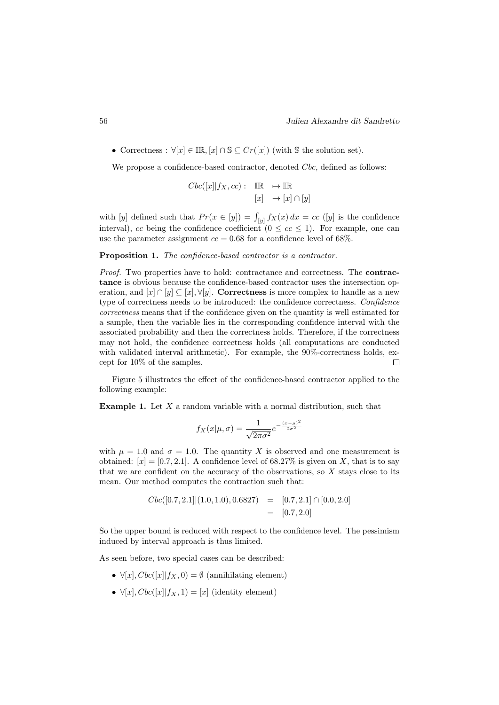• Correctness :  $\forall [x] \in \mathbb{IR}, [x] \cap \mathbb{S} \subseteq Cr([x])$  (with  $\mathbb S$  the solution set).

We propose a confidence-based contractor, denoted Cbc, defined as follows:

$$
Cbc([x]|f_X,cc): \quad \mathbb{IR} \quad \mapsto \mathbb{IR}
$$

$$
[x] \quad \to [x] \cap [y]
$$

with [y] defined such that  $Pr(x \in [y]) = \int_{[y]} f_X(x) dx = cc$  ([y] is the confidence interval), cc being the confidence coefficient  $(0 \leq cc \leq 1)$ . For example, one can use the parameter assignment  $cc = 0.68$  for a confidence level of 68%.

#### Proposition 1. The confidence-based contractor is a contractor.

Proof. Two properties have to hold: contractance and correctness. The **contrac**tance is obvious because the confidence-based contractor uses the intersection operation, and  $[x] \cap [y] \subseteq [x], \forall [y]$ . Correctness is more complex to handle as a new type of correctness needs to be introduced: the confidence correctness. Confidence correctness means that if the confidence given on the quantity is well estimated for a sample, then the variable lies in the corresponding confidence interval with the associated probability and then the correctness holds. Therefore, if the correctness may not hold, the confidence correctness holds (all computations are conducted with validated interval arithmetic). For example, the 90%-correctness holds, except for 10% of the samples.  $\Box$ 

Figure 5 illustrates the effect of the confidence-based contractor applied to the following example:

**Example 1.** Let  $X$  a random variable with a normal distribution, such that

$$
f_X(x|\mu,\sigma) = \frac{1}{\sqrt{2\pi\sigma^2}}e^{-\frac{(x-\mu)^2}{2\sigma^2}}
$$

with  $\mu = 1.0$  and  $\sigma = 1.0$ . The quantity X is observed and one measurement is obtained:  $[x] = [0.7, 2.1]$ . A confidence level of 68.27% is given on X, that is to say that we are confident on the accuracy of the observations, so  $X$  stays close to its mean. Our method computes the contraction such that:

$$
Cbc([0.7, 2.1]|(1.0, 1.0), 0.6827) = [0.7, 2.1] \cap [0.0, 2.0]
$$
  
= [0.7, 2.0]

So the upper bound is reduced with respect to the confidence level. The pessimism induced by interval approach is thus limited.

As seen before, two special cases can be described:

- $\forall [x], Cbc([x] | f_X, 0) = \emptyset$  (annihilating element)
- $\forall [x], Cbc([x][f_X, 1) = [x]$  (identity element)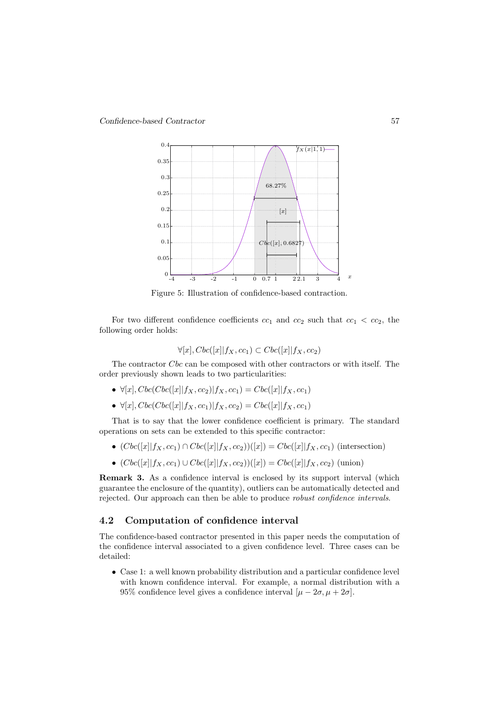

Figure 5: Illustration of confidence-based contraction.

For two different confidence coefficients  $cc_1$  and  $cc_2$  such that  $cc_1 < cc_2$ , the following order holds:

$$
\forall [x], Cbc([x]|f_X, cc_1) \subset Cbc([x]|f_X, cc_2)
$$

The contractor Cbc can be composed with other contractors or with itself. The order previously shown leads to two particularities:

- $\forall [x], Cbc(Cbc([x][f_X, cc_2)]f_X, cc_1) = Cbc([x][f_X, cc_1)$
- $\forall [x], Cbc(Cbc([x][f_X, cc_1)]f_X, cc_2) = Cbc([x][f_X, cc_1)$

That is to say that the lower confidence coefficient is primary. The standard operations on sets can be extended to this specific contractor:

- $(Cbc([x||f_X, cc_1) \cap Cbc([x||f_X, cc_2))([x]) = Cbc([x||f_X, cc_1)$  (intersection)
- $(Cbc([x||f_X, cc_1) \cup Cbc([x||f_X, cc_2))([x]) = Cbc([x||f_X, cc_2)$  (union)

Remark 3. As a confidence interval is enclosed by its support interval (which guarantee the enclosure of the quantity), outliers can be automatically detected and rejected. Our approach can then be able to produce robust confidence intervals.

#### 4.2 Computation of confidence interval

The confidence-based contractor presented in this paper needs the computation of the confidence interval associated to a given confidence level. Three cases can be detailed:

• Case 1: a well known probability distribution and a particular confidence level with known confidence interval. For example, a normal distribution with a 95% confidence level gives a confidence interval  $[\mu - 2\sigma, \mu + 2\sigma]$ .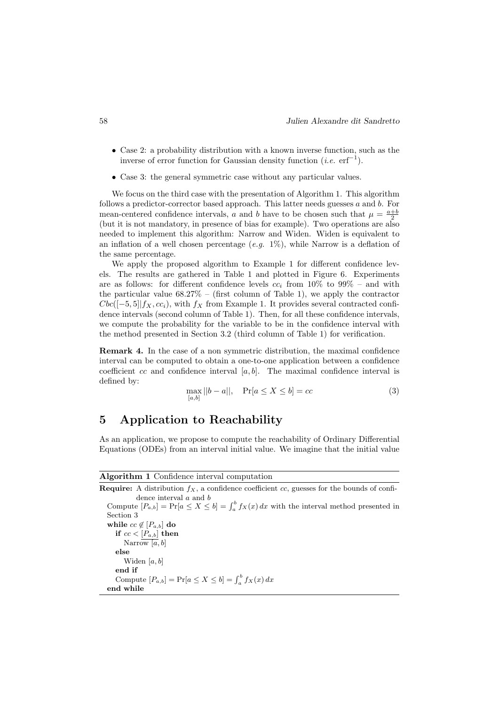- Case 2: a probability distribution with a known inverse function, such as the inverse of error function for Gaussian density function (*i.e.*  $erf^{-1}$ ).
- Case 3: the general symmetric case without any particular values.

We focus on the third case with the presentation of Algorithm 1. This algorithm follows a predictor-corrector based approach. This latter needs guesses  $a$  and  $b$ . For mean-centered confidence intervals, a and b have to be chosen such that  $\mu = \frac{a+b}{2}$ (but it is not mandatory, in presence of bias for example). Two operations are also needed to implement this algorithm: Narrow and Widen. Widen is equivalent to an inflation of a well chosen percentage  $(e,q. 1\%)$ , while Narrow is a deflation of the same percentage.

We apply the proposed algorithm to Example 1 for different confidence levels. The results are gathered in Table 1 and plotted in Figure 6. Experiments are as follows: for different confidence levels  $cc_i$  from 10% to 99% – and with the particular value  $68.27\%$  – (first column of Table 1), we apply the contractor  $Cbc([-5, 5]|f<sub>X</sub>, cc<sub>i</sub>)$ , with  $f<sub>X</sub>$  from Example 1. It provides several contracted confidence intervals (second column of Table 1). Then, for all these confidence intervals, we compute the probability for the variable to be in the confidence interval with the method presented in Section 3.2 (third column of Table 1) for verification.

Remark 4. In the case of a non symmetric distribution, the maximal confidence interval can be computed to obtain a one-to-one application between a confidence coefficient  $cc$  and confidence interval  $[a, b]$ . The maximal confidence interval is defined by:

$$
\max_{[a,b]} ||b - a||, \quad \Pr[a \le X \le b] = cc \tag{3}
$$

# 5 Application to Reachability

As an application, we propose to compute the reachability of Ordinary Differential Equations (ODEs) from an interval initial value. We imagine that the initial value

Algorithm 1 Confidence interval computation

**Require:** A distribution  $f_X$ , a confidence coefficient cc, guesses for the bounds of confidence interval  $a$  and  $b$ Compute  $[P_{a,b}] = Pr[a \leq X \leq b] = \int_a^b f_X(x) dx$  with the interval method presented in Section 3 while  $cc \notin [P_{a,b}]$  do if  $cc < [P_{a,b}]$  then Narrow  $[a, b]$ else Widen  $[a, b]$ end if Compute  $[P_{a,b}] = Pr[a \le X \le b] = \int_a^b f_X(x) dx$ end while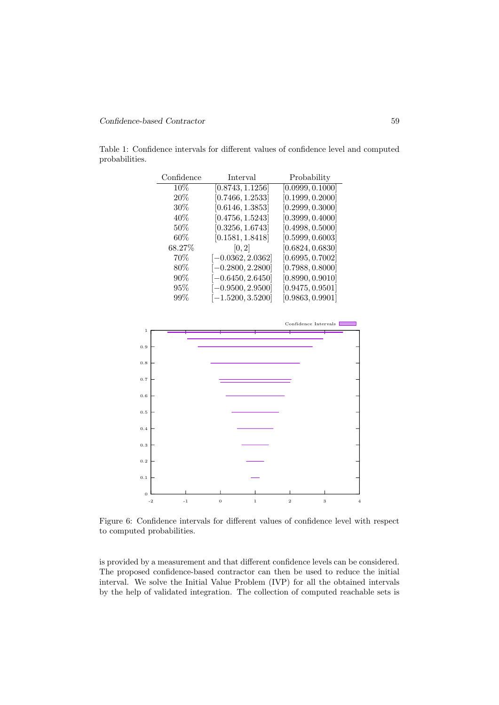#### Confidence-based Contractor 59

Table 1: Confidence intervals for different values of confidence level and computed probabilities.

| Confidence | <b>Interval</b>     | Probability      |
|------------|---------------------|------------------|
| 10%        | [0.8743, 1.1256]    | [0.0999, 0.1000] |
| 20%        | [0.7466, 1.2533]    | [0.1999, 0.2000] |
| $30\%$     | [0.6146, 1.3853]    | [0.2999, 0.3000] |
| 40\%       | [0.4756, 1.5243]    | [0.3999, 0.4000] |
| $50\%$     | [0.3256, 1.6743]    | [0.4998, 0.5000] |
| $60\%$     | [0.1581, 1.8418]    | [0.5999, 0.6003] |
| 68.27%     | [0, 2]              | [0.6824, 0.6830] |
| $70\%$     | $[-0.0362, 2.0362]$ | [0.6995, 0.7002] |
| $80\%$     | $[-0.2800, 2.2800]$ | [0.7988, 0.8000] |
| $90\%$     | $[-0.6450, 2.6450]$ | [0.8990, 0.9010] |
| 95%        | $[-0.9500, 2.9500]$ | [0.9475, 0.9501] |
| 99%        | $[-1.5200, 3.5200]$ | [0.9863, 0.9901] |



Figure 6: Confidence intervals for different values of confidence level with respect to computed probabilities.

is provided by a measurement and that different confidence levels can be considered. The proposed confidence-based contractor can then be used to reduce the initial interval. We solve the Initial Value Problem (IVP) for all the obtained intervals by the help of validated integration. The collection of computed reachable sets is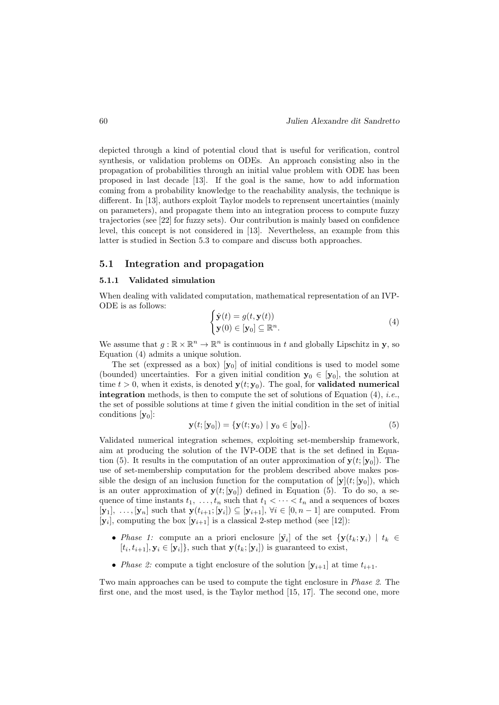depicted through a kind of potential cloud that is useful for verification, control synthesis, or validation problems on ODEs. An approach consisting also in the propagation of probabilities through an initial value problem with ODE has been proposed in last decade [13]. If the goal is the same, how to add information coming from a probability knowledge to the reachability analysis, the technique is different. In [13], authors exploit Taylor models to reprensent uncertainties (mainly on parameters), and propagate them into an integration process to compute fuzzy trajectories (see [22] for fuzzy sets). Our contribution is mainly based on confidence level, this concept is not considered in [13]. Nevertheless, an example from this latter is studied in Section 5.3 to compare and discuss both approaches.

#### 5.1 Integration and propagation

#### 5.1.1 Validated simulation

When dealing with validated computation, mathematical representation of an IVP-ODE is as follows:

$$
\begin{cases} \dot{\mathbf{y}}(t) = g(t, \mathbf{y}(t)) \\ \mathbf{y}(0) \in [\mathbf{y}_0] \subseteq \mathbb{R}^n. \end{cases} \tag{4}
$$

We assume that  $g: \mathbb{R} \times \mathbb{R}^n \to \mathbb{R}^n$  is continuous in t and globally Lipschitz in y, so Equation (4) admits a unique solution.

The set (expressed as a box)  $[y_0]$  of initial conditions is used to model some (bounded) uncertainties. For a given initial condition  $y_0 \in [y_0]$ , the solution at time  $t > 0$ , when it exists, is denoted  $y(t; y_0)$ . The goal, for **validated numerical integration** methods, is then to compute the set of solutions of Equation  $(4)$ , *i.e.*, the set of possible solutions at time  $t$  given the initial condition in the set of initial conditions  $[y_0]$ :

$$
\mathbf{y}(t;[\mathbf{y}_0]) = \{ \mathbf{y}(t; \mathbf{y}_0) \mid \mathbf{y}_0 \in [\mathbf{y}_0] \}. \tag{5}
$$

Validated numerical integration schemes, exploiting set-membership framework, aim at producing the solution of the IVP-ODE that is the set defined in Equation (5). It results in the computation of an outer approximation of  $y(t; [y_0])$ . The use of set-membership computation for the problem described above makes possible the design of an inclusion function for the computation of  $[y](t; [y_0])$ , which is an outer approximation of  $y(t; [y_0])$  defined in Equation (5). To do so, a sequence of time instants  $t_1, \ldots, t_n$  such that  $t_1 < \cdots < t_n$  and a sequences of boxes  $[\mathbf{y}_1], \ldots, [\mathbf{y}_n]$  such that  $\mathbf{y}(t_{i+1}; [\mathbf{y}_i]) \subseteq [\mathbf{y}_{i+1}], \forall i \in [0, n-1]$  are computed. From  $[\mathbf{y}_i]$ , computing the box  $[\mathbf{y}_{i+1}]$  is a classical 2-step method (see [12]):

- *Phase 1:* compute an a priori enclosure  $[\tilde{\mathbf{y}}_i]$  of the set  ${\mathbf y}(t_k;{\mathbf y}_i) \mid t_k \in$  $[t_i, t_{i+1}], \mathbf{y}_i \in [\mathbf{y}_i]$ , such that  $\mathbf{y}(t_k; [\mathbf{y}_i])$  is guaranteed to exist,
- Phase 2: compute a tight enclosure of the solution  $[\mathbf{y}_{i+1}]$  at time  $t_{i+1}$ .

Two main approaches can be used to compute the tight enclosure in Phase 2. The first one, and the most used, is the Taylor method [15, 17]. The second one, more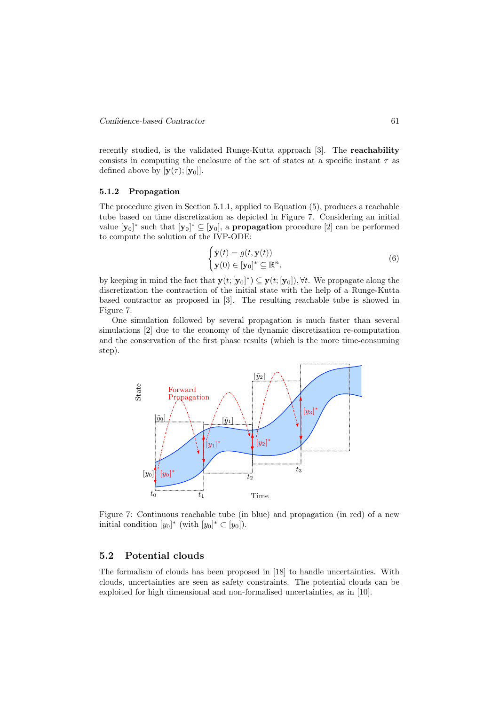recently studied, is the validated Runge-Kutta approach [3]. The reachability consists in computing the enclosure of the set of states at a specific instant  $\tau$  as defined above by  $[\mathbf{y}(\tau);\mathbf{y}_0]].$ 

#### 5.1.2 Propagation

The procedure given in Section 5.1.1, applied to Equation (5), produces a reachable tube based on time discretization as depicted in Figure 7. Considering an initial value  $[\mathbf{y}_0]^*$  such that  $[\mathbf{y}_0]^* \subseteq [\mathbf{y}_0]$ , a **propagation** procedure [2] can be performed to compute the solution of the IVP-ODE:

$$
\begin{cases} \dot{\mathbf{y}}(t) = g(t, \mathbf{y}(t)) \\ \mathbf{y}(0) \in [\mathbf{y}_0]^* \subseteq \mathbb{R}^n. \end{cases} \tag{6}
$$

by keeping in mind the fact that  $\mathbf{y}(t; [\mathbf{y}_0]^*) \subseteq \mathbf{y}(t; [\mathbf{y}_0])$ ,  $\forall t$ . We propagate along the discretization the contraction of the initial state with the help of a Runge-Kutta based contractor as proposed in [3]. The resulting reachable tube is showed in Figure 7.

One simulation followed by several propagation is much faster than several simulations [2] due to the economy of the dynamic discretization re-computation and the conservation of the first phase results (which is the more time-consuming step).



Figure 7: Continuous reachable tube (in blue) and propagation (in red) of a new initial condition  $[y_0]^*$  (with  $[y_0]^* \subset [y_0]$ ).

#### 5.2 Potential clouds

The formalism of clouds has been proposed in [18] to handle uncertainties. With clouds, uncertainties are seen as safety constraints. The potential clouds can be exploited for high dimensional and non-formalised uncertainties, as in [10].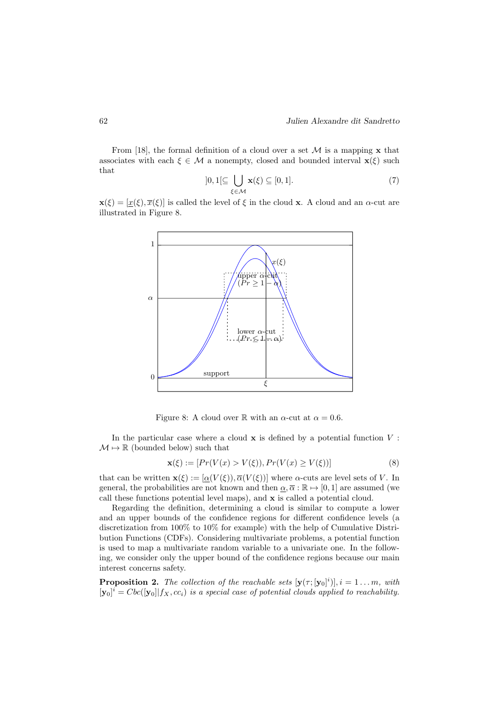From [18], the formal definition of a cloud over a set  $\mathcal M$  is a mapping **x** that associates with each  $\xi \in \mathcal{M}$  a nonempty, closed and bounded interval  $\mathbf{x}(\xi)$  such that

$$
]0,1[\subseteq \bigcup_{\xi \in \mathcal{M}} \mathbf{x}(\xi) \subseteq [0,1]. \tag{7}
$$

 $\mathbf{x}(\xi) = [\underline{x}(\xi), \overline{x}(\xi)]$  is called the level of  $\xi$  in the cloud x. A cloud and an  $\alpha$ -cut are illustrated in Figure 8.



Figure 8: A cloud over R with an  $\alpha$ -cut at  $\alpha = 0.6$ .

In the particular case where a cloud  $x$  is defined by a potential function  $V$ :  $\mathcal{M} \mapsto \mathbb{R}$  (bounded below) such that

$$
\mathbf{x}(\xi) := [Pr(V(x) > V(\xi)), Pr(V(x) \ge V(\xi))]
$$
\n(8)

that can be written  $\mathbf{x}(\xi) := [\alpha(V(\xi)), \overline{\alpha}(V(\xi))]$  where  $\alpha$ -cuts are level sets of V. In general, the probabilities are not known and then  $\alpha, \overline{\alpha} : \mathbb{R} \mapsto [0, 1]$  are assumed (we call these functions potential level maps), and x is called a potential cloud.

Regarding the definition, determining a cloud is similar to compute a lower and an upper bounds of the confidence regions for different confidence levels (a discretization from 100% to 10% for example) with the help of Cumulative Distribution Functions (CDFs). Considering multivariate problems, a potential function is used to map a multivariate random variable to a univariate one. In the following, we consider only the upper bound of the confidence regions because our main interest concerns safety.

**Proposition 2.** The collection of the reachable sets  $[\mathbf{y}(\tau; [\mathbf{y}_0]^i)], i = 1...m, \text{ with}$  $[\mathbf{y}_0]^i = Cbc([\mathbf{y}_0]|f_X, cc_i)$  is a special case of potential clouds applied to reachability.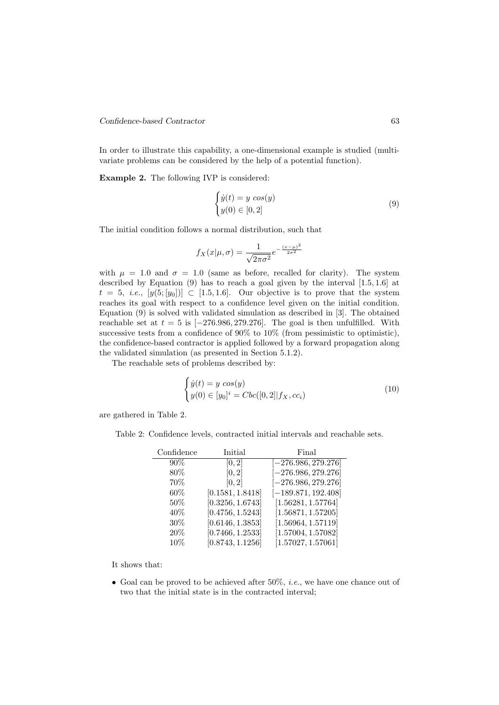#### Confidence-based Contractor 63

In order to illustrate this capability, a one-dimensional example is studied (multivariate problems can be considered by the help of a potential function).

Example 2. The following IVP is considered:

$$
\begin{cases}\n\dot{y}(t) = y \cos(y) \\
y(0) \in [0, 2]\n\end{cases}
$$
\n(9)

The initial condition follows a normal distribution, such that

$$
f_X(x|\mu,\sigma) = \frac{1}{\sqrt{2\pi\sigma^2}} e^{-\frac{(x-\mu)^2}{2\sigma^2}}
$$

with  $\mu = 1.0$  and  $\sigma = 1.0$  (same as before, recalled for clarity). The system described by Equation (9) has to reach a goal given by the interval [1.5, 1.6] at  $t = 5$ , *i.e.*,  $[y(5; [y_0])] \subset [1.5, 1.6]$ . Our objective is to prove that the system reaches its goal with respect to a confidence level given on the initial condition. Equation (9) is solved with validated simulation as described in [3]. The obtained reachable set at  $t = 5$  is  $[-276.986, 279.276]$ . The goal is then unfulfilled. With successive tests from a confidence of 90% to 10% (from pessimistic to optimistic), the confidence-based contractor is applied followed by a forward propagation along the validated simulation (as presented in Section 5.1.2).

The reachable sets of problems described by:

$$
\begin{cases}\n\dot{y}(t) = y \cos(y) \\
y(0) \in [y_0]^i = Cbc([0, 2]|f_X, cc_i)\n\end{cases}
$$
\n(10)

are gathered in Table 2.

Table 2: Confidence levels, contracted initial intervals and reachable sets.

| Confidence | Initial          | Final                 |
|------------|------------------|-----------------------|
| 90%        | [0, 2]           | $[-276.986, 279.276]$ |
| 80%        | [0, 2]           | $[-276.986, 279.276]$ |
| 70%        | [0, 2]           | $[-276.986, 279.276]$ |
| 60%        | [0.1581, 1.8418] | $[-189.871, 192.408]$ |
| $50\%$     | [0.3256, 1.6743] | [1.56281, 1.57764]    |
| 40\%       | [0.4756, 1.5243] | [1.56871, 1.57205]    |
| $30\%$     | [0.6146, 1.3853] | [1.56964, 1.57119]    |
| 20%        | [0.7466, 1.2533] | [1.57004, 1.57082]    |
| 10%        | [0.8743, 1.1256] | [1.57027, 1.57061]    |

It shows that:

• Goal can be proved to be achieved after 50%, *i.e.*, we have one chance out of two that the initial state is in the contracted interval;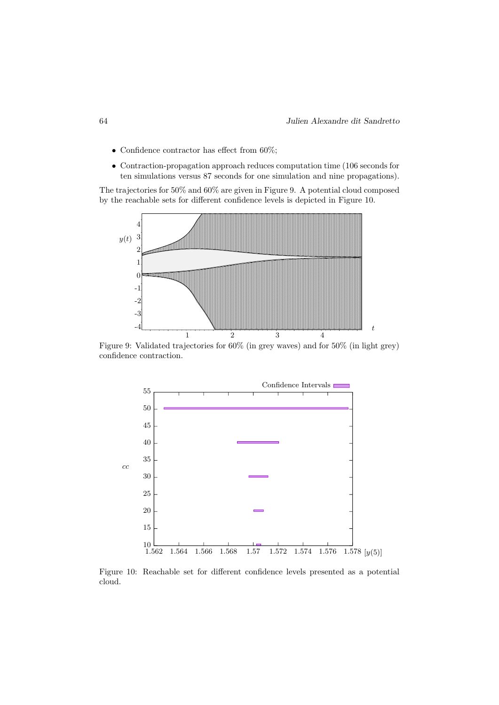- Confidence contractor has effect from 60%;
- Contraction-propagation approach reduces computation time (106 seconds for ten simulations versus 87 seconds for one simulation and nine propagations).

The trajectories for 50% and 60% are given in Figure 9. A potential cloud composed by the reachable sets for different confidence levels is depicted in Figure 10.



Figure 9: Validated trajectories for 60% (in grey waves) and for 50% (in light grey) confidence contraction.



Figure 10: Reachable set for different confidence levels presented as a potential cloud.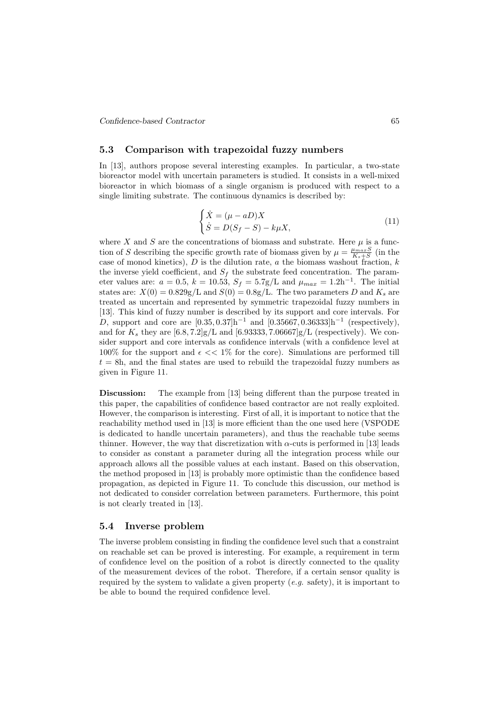Confidence-based Contractor 65

#### 5.3 Comparison with trapezoidal fuzzy numbers

In [13], authors propose several interesting examples. In particular, a two-state bioreactor model with uncertain parameters is studied. It consists in a well-mixed bioreactor in which biomass of a single organism is produced with respect to a single limiting substrate. The continuous dynamics is described by:

$$
\begin{cases}\n\dot{X} = (\mu - aD)X \\
\dot{S} = D(S_f - S) - k\mu X,\n\end{cases}
$$
\n(11)

where X and S are the concentrations of biomass and substrate. Here  $\mu$  is a function of S describing the specific growth rate of biomass given by  $\mu = \frac{\mu_{max}S}{K_s+S}$  (in the case of monod kinetics),  $D$  is the dilution rate,  $a$  the biomass washout fraction,  $k$ the inverse yield coefficient, and  $S_f$  the substrate feed concentration. The parameter values are:  $a = 0.5$ ,  $k = 10.53$ ,  $S_f = 5.7$ g/L and  $\mu_{max} = 1.2$ h<sup>-1</sup>. The initial states are:  $X(0) = 0.829g/L$  and  $S(0) = 0.8g/L$ . The two parameters D and  $K_s$  are treated as uncertain and represented by symmetric trapezoidal fuzzy numbers in [13]. This kind of fuzzy number is described by its support and core intervals. For D, support and core are  $[0.35, 0.37]$ h<sup>-1</sup> and  $[0.35667, 0.36333]$ h<sup>-1</sup> (respectively), and for  $K_s$  they are  $[6.8, 7.2]g/L$  and  $[6.93333, 7.06667]g/L$  (respectively). We consider support and core intervals as confidence intervals (with a confidence level at 100% for the support and  $\epsilon \ll 1\%$  for the core). Simulations are performed till  $t = 8h$ , and the final states are used to rebuild the trapezoidal fuzzy numbers as given in Figure 11.

Discussion: The example from [13] being different than the purpose treated in this paper, the capabilities of confidence based contractor are not really exploited. However, the comparison is interesting. First of all, it is important to notice that the reachability method used in [13] is more efficient than the one used here (VSPODE is dedicated to handle uncertain parameters), and thus the reachable tube seems thinner. However, the way that discretization with  $\alpha$ -cuts is performed in [13] leads to consider as constant a parameter during all the integration process while our approach allows all the possible values at each instant. Based on this observation, the method proposed in [13] is probably more optimistic than the confidence based propagation, as depicted in Figure 11. To conclude this discussion, our method is not dedicated to consider correlation between parameters. Furthermore, this point is not clearly treated in [13].

#### 5.4 Inverse problem

The inverse problem consisting in finding the confidence level such that a constraint on reachable set can be proved is interesting. For example, a requirement in term of confidence level on the position of a robot is directly connected to the quality of the measurement devices of the robot. Therefore, if a certain sensor quality is required by the system to validate a given property  $(e.g.$  safety), it is important to be able to bound the required confidence level.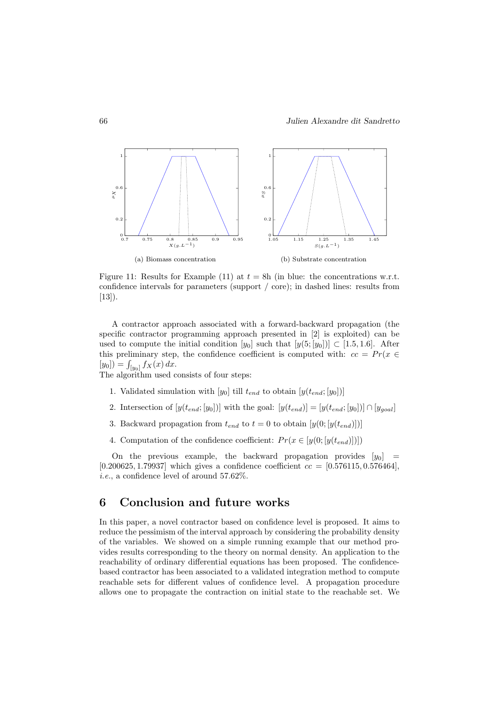![](_page_17_Figure_1.jpeg)

Figure 11: Results for Example (11) at  $t = 8h$  (in blue: the concentrations w.r.t. confidence intervals for parameters (support / core); in dashed lines: results from [13]).

A contractor approach associated with a forward-backward propagation (the specific contractor programming approach presented in [2] is exploited) can be used to compute the initial condition  $[y_0]$  such that  $[y(5; [y_0])] \subset [1.5, 1.6]$ . After this preliminary step, the confidence coefficient is computed with:  $cc = Pr(x \in$  $[y_0]$  =  $\int_{[y_0]} f_X(x) dx$ .

The algorithm used consists of four steps:

- 1. Validated simulation with  $[y_0]$  till  $t_{end}$  to obtain  $[y(t_{end}; [y_0])]$
- 2. Intersection of  $[y(t_{end}; [y_0])]$  with the goal:  $[y(t_{end})] = [y(t_{end}; [y_0])] \cap [y_{goal}]$
- 3. Backward propagation from  $t_{end}$  to  $t = 0$  to obtain  $[y(0; [y(t_{end})])]$
- 4. Computation of the confidence coefficient:  $Pr(x \in [y(0; [y(t_{end})]])$

On the previous example, the backward propagation provides  $[y_0]$  = [0.200625, 1.79937] which gives a confidence coefficient  $cc = [0.576115, 0.576464]$ , i.e., a confidence level of around 57.62%.

### 6 Conclusion and future works

In this paper, a novel contractor based on confidence level is proposed. It aims to reduce the pessimism of the interval approach by considering the probability density of the variables. We showed on a simple running example that our method provides results corresponding to the theory on normal density. An application to the reachability of ordinary differential equations has been proposed. The confidencebased contractor has been associated to a validated integration method to compute reachable sets for different values of confidence level. A propagation procedure allows one to propagate the contraction on initial state to the reachable set. We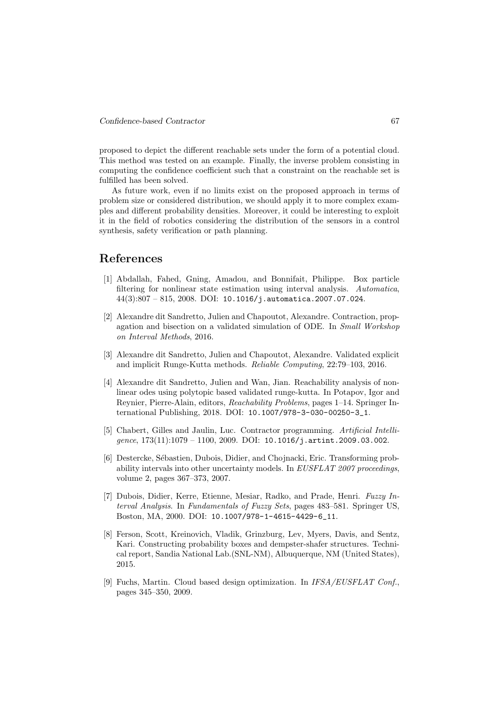proposed to depict the different reachable sets under the form of a potential cloud. This method was tested on an example. Finally, the inverse problem consisting in computing the confidence coefficient such that a constraint on the reachable set is fulfilled has been solved.

As future work, even if no limits exist on the proposed approach in terms of problem size or considered distribution, we should apply it to more complex examples and different probability densities. Moreover, it could be interesting to exploit it in the field of robotics considering the distribution of the sensors in a control synthesis, safety verification or path planning.

### References

- [1] Abdallah, Fahed, Gning, Amadou, and Bonnifait, Philippe. Box particle filtering for nonlinear state estimation using interval analysis. Automatica,  $44(3):807 - 815, 2008, \text{ DOI: } 10.1016/$ j.automatica.2007.07.024.
- [2] Alexandre dit Sandretto, Julien and Chapoutot, Alexandre. Contraction, propagation and bisection on a validated simulation of ODE. In Small Workshop on Interval Methods, 2016.
- [3] Alexandre dit Sandretto, Julien and Chapoutot, Alexandre. Validated explicit and implicit Runge-Kutta methods. Reliable Computing, 22:79–103, 2016.
- [4] Alexandre dit Sandretto, Julien and Wan, Jian. Reachability analysis of nonlinear odes using polytopic based validated runge-kutta. In Potapov, Igor and Reynier, Pierre-Alain, editors, Reachability Problems, pages 1–14. Springer International Publishing, 2018. DOI: 10.1007/978-3-030-00250-3\_1.
- [5] Chabert, Gilles and Jaulin, Luc. Contractor programming. Artificial Intelligence,  $173(11):1079 - 1100$ ,  $2009$ . DOI:  $10.1016/j$ . artint. 2009.03.002.
- [6] Destercke, S´ebastien, Dubois, Didier, and Chojnacki, Eric. Transforming probability intervals into other uncertainty models. In EUSFLAT 2007 proceedings, volume 2, pages 367–373, 2007.
- [7] Dubois, Didier, Kerre, Etienne, Mesiar, Radko, and Prade, Henri. Fuzzy Interval Analysis. In Fundamentals of Fuzzy Sets, pages 483–581. Springer US, Boston, MA, 2000. DOI: 10.1007/978-1-4615-4429-6\_11.
- [8] Ferson, Scott, Kreinovich, Vladik, Grinzburg, Lev, Myers, Davis, and Sentz, Kari. Constructing probability boxes and dempster-shafer structures. Technical report, Sandia National Lab.(SNL-NM), Albuquerque, NM (United States), 2015.
- [9] Fuchs, Martin. Cloud based design optimization. In IFSA/EUSFLAT Conf. pages 345–350, 2009.